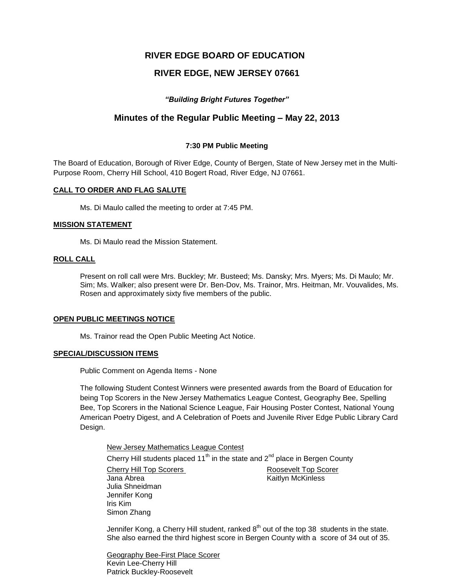# **RIVER EDGE BOARD OF EDUCATION**

# **RIVER EDGE, NEW JERSEY 07661**

## *"Building Bright Futures Together"*

## **Minutes of the Regular Public Meeting – May 22, 2013**

## **7:30 PM Public Meeting**

The Board of Education, Borough of River Edge, County of Bergen, State of New Jersey met in the Multi-Purpose Room, Cherry Hill School, 410 Bogert Road, River Edge, NJ 07661.

## **CALL TO ORDER AND FLAG SALUTE**

Ms. Di Maulo called the meeting to order at 7:45 PM.

### **MISSION STATEMENT**

Ms. Di Maulo read the Mission Statement.

## **ROLL CALL**

Present on roll call were Mrs. Buckley; Mr. Busteed; Ms. Dansky; Mrs. Myers; Ms. Di Maulo; Mr. Sim; Ms. Walker; also present were Dr. Ben-Dov, Ms. Trainor, Mrs. Heitman, Mr. Vouvalides, Ms. Rosen and approximately sixty five members of the public.

#### **OPEN PUBLIC MEETINGS NOTICE**

Ms. Trainor read the Open Public Meeting Act Notice.

#### **SPECIAL/DISCUSSION ITEMS**

Public Comment on Agenda Items - None

The following Student Contest Winners were presented awards from the Board of Education for being Top Scorers in the New Jersey Mathematics League Contest, Geography Bee, Spelling Bee, Top Scorers in the National Science League, Fair Housing Poster Contest, National Young American Poetry Digest, and A Celebration of Poets and Juvenile River Edge Public Library Card Design.

New Jersey Mathematics League Contest Cherry Hill students placed  $11<sup>th</sup>$  in the state and  $2<sup>nd</sup>$  place in Bergen County Cherry Hill Top Scorers Roosevelt Top Scorer Jana Abrea **Kaitlyn McKinless** Julia Shneidman Jennifer Kong Iris Kim Simon Zhang

Jennifer Kong, a Cherry Hill student, ranked  $8^{th}$  out of the top 38 students in the state. She also earned the third highest score in Bergen County with a score of 34 out of 35.

Geography Bee-First Place Scorer Kevin Lee-Cherry Hill Patrick Buckley-Roosevelt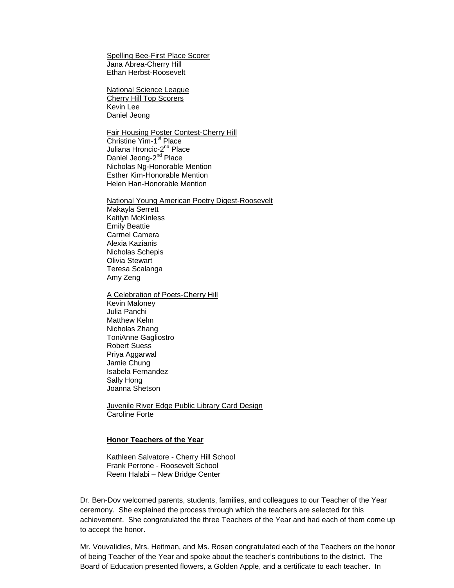Spelling Bee-First Place Scorer Jana Abrea-Cherry Hill Ethan Herbst-Roosevelt

National Science League Cherry Hill Top Scorers Kevin Lee Daniel Jeong

Fair Housing Poster Contest-Cherry Hill Christine Yim-1<sup>st</sup> Place Juliana Hroncic-2<sup>nd</sup> Place Daniel Jeong-2<sup>nd</sup> Place Nicholas Ng-Honorable Mention Esther Kim-Honorable Mention Helen Han-Honorable Mention

National Young American Poetry Digest-Roosevelt Makayla Serrett Kaitlyn McKinless Emily Beattie Carmel Camera Alexia Kazianis Nicholas Schepis Olivia Stewart Teresa Scalanga Amy Zeng

A Celebration of Poets-Cherry Hill Kevin Maloney Julia Panchi Matthew Kelm Nicholas Zhang ToniAnne Gagliostro Robert Suess Priya Aggarwal Jamie Chung Isabela Fernandez Sally Hong Joanna Shetson

Juvenile River Edge Public Library Card Design Caroline Forte

### **Honor Teachers of the Year**

Kathleen Salvatore - Cherry Hill School Frank Perrone - Roosevelt School Reem Halabi – New Bridge Center

Dr. Ben-Dov welcomed parents, students, families, and colleagues to our Teacher of the Year ceremony. She explained the process through which the teachers are selected for this achievement. She congratulated the three Teachers of the Year and had each of them come up to accept the honor.

Mr. Vouvalidies, Mrs. Heitman, and Ms. Rosen congratulated each of the Teachers on the honor of being Teacher of the Year and spoke about the teacher's contributions to the district. The Board of Education presented flowers, a Golden Apple, and a certificate to each teacher. In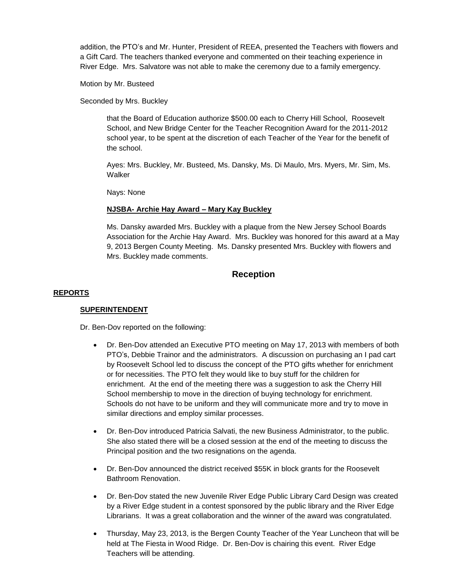addition, the PTO's and Mr. Hunter, President of REEA, presented the Teachers with flowers and a Gift Card. The teachers thanked everyone and commented on their teaching experience in River Edge. Mrs. Salvatore was not able to make the ceremony due to a family emergency.

Motion by Mr. Busteed

Seconded by Mrs. Buckley

that the Board of Education authorize \$500.00 each to Cherry Hill School, Roosevelt School, and New Bridge Center for the Teacher Recognition Award for the 2011-2012 school year, to be spent at the discretion of each Teacher of the Year for the benefit of the school.

Ayes: Mrs. Buckley, Mr. Busteed, Ms. Dansky, Ms. Di Maulo, Mrs. Myers, Mr. Sim, Ms. Walker

Nays: None

## **NJSBA- Archie Hay Award – Mary Kay Buckley**

Ms. Dansky awarded Mrs. Buckley with a plaque from the New Jersey School Boards Association for the Archie Hay Award. Mrs. Buckley was honored for this award at a May 9, 2013 Bergen County Meeting. Ms. Dansky presented Mrs. Buckley with flowers and Mrs. Buckley made comments.

# **Reception**

## **REPORTS**

## **SUPERINTENDENT**

Dr. Ben-Dov reported on the following:

- Dr. Ben-Dov attended an Executive PTO meeting on May 17, 2013 with members of both PTO's, Debbie Trainor and the administrators. A discussion on purchasing an I pad cart by Roosevelt School led to discuss the concept of the PTO gifts whether for enrichment or for necessities. The PTO felt they would like to buy stuff for the children for enrichment. At the end of the meeting there was a suggestion to ask the Cherry Hill School membership to move in the direction of buying technology for enrichment. Schools do not have to be uniform and they will communicate more and try to move in similar directions and employ similar processes.
- Dr. Ben-Dov introduced Patricia Salvati, the new Business Administrator, to the public. She also stated there will be a closed session at the end of the meeting to discuss the Principal position and the two resignations on the agenda.
- Dr. Ben-Dov announced the district received \$55K in block grants for the Roosevelt Bathroom Renovation.
- Dr. Ben-Dov stated the new Juvenile River Edge Public Library Card Design was created by a River Edge student in a contest sponsored by the public library and the River Edge Librarians. It was a great collaboration and the winner of the award was congratulated.
- Thursday, May 23, 2013, is the Bergen County Teacher of the Year Luncheon that will be held at The Fiesta in Wood Ridge. Dr. Ben-Dov is chairing this event. River Edge Teachers will be attending.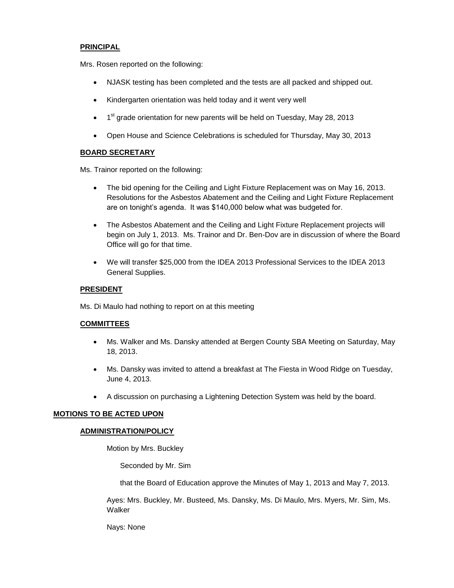## **PRINCIPAL**

Mrs. Rosen reported on the following:

- NJASK testing has been completed and the tests are all packed and shipped out.
- Kindergarten orientation was held today and it went very well
- $\bullet$  1<sup>st</sup> grade orientation for new parents will be held on Tuesday, May 28, 2013
- Open House and Science Celebrations is scheduled for Thursday, May 30, 2013

## **BOARD SECRETARY**

Ms. Trainor reported on the following:

- The bid opening for the Ceiling and Light Fixture Replacement was on May 16, 2013. Resolutions for the Asbestos Abatement and the Ceiling and Light Fixture Replacement are on tonight's agenda. It was \$140,000 below what was budgeted for.
- The Asbestos Abatement and the Ceiling and Light Fixture Replacement projects will begin on July 1, 2013. Ms. Trainor and Dr. Ben-Dov are in discussion of where the Board Office will go for that time.
- We will transfer \$25,000 from the IDEA 2013 Professional Services to the IDEA 2013 General Supplies.

## **PRESIDENT**

Ms. Di Maulo had nothing to report on at this meeting

## **COMMITTEES**

- Ms. Walker and Ms. Dansky attended at Bergen County SBA Meeting on Saturday, May 18, 2013.
- Ms. Dansky was invited to attend a breakfast at The Fiesta in Wood Ridge on Tuesday, June 4, 2013.
- A discussion on purchasing a Lightening Detection System was held by the board.

## **MOTIONS TO BE ACTED UPON**

## **ADMINISTRATION/POLICY**

Motion by Mrs. Buckley

Seconded by Mr. Sim

that the Board of Education approve the Minutes of May 1, 2013 and May 7, 2013.

Ayes: Mrs. Buckley, Mr. Busteed, Ms. Dansky, Ms. Di Maulo, Mrs. Myers, Mr. Sim, Ms. Walker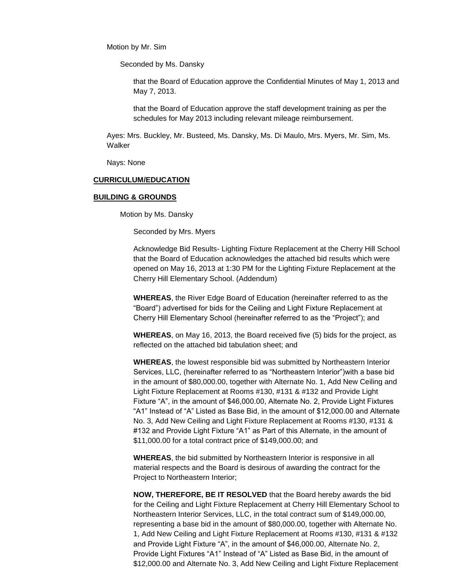Motion by Mr. Sim

Seconded by Ms. Dansky

that the Board of Education approve the Confidential Minutes of May 1, 2013 and May 7, 2013.

that the Board of Education approve the staff development training as per the schedules for May 2013 including relevant mileage reimbursement.

Ayes: Mrs. Buckley, Mr. Busteed, Ms. Dansky, Ms. Di Maulo, Mrs. Myers, Mr. Sim, Ms. Walker

Nays: None

#### **CURRICULUM/EDUCATION**

#### **BUILDING & GROUNDS**

Motion by Ms. Dansky

Seconded by Mrs. Myers

Acknowledge Bid Results- Lighting Fixture Replacement at the Cherry Hill School that the Board of Education acknowledges the attached bid results which were opened on May 16, 2013 at 1:30 PM for the Lighting Fixture Replacement at the Cherry Hill Elementary School. (Addendum)

**WHEREAS**, the River Edge Board of Education (hereinafter referred to as the "Board") advertised for bids for the Ceiling and Light Fixture Replacement at Cherry Hill Elementary School (hereinafter referred to as the "Project"); and

**WHEREAS**, on May 16, 2013, the Board received five (5) bids for the project, as reflected on the attached bid tabulation sheet; and

**WHEREAS**, the lowest responsible bid was submitted by Northeastern Interior Services, LLC, (hereinafter referred to as "Northeastern Interior")with a base bid in the amount of \$80,000.00, together with Alternate No. 1, Add New Ceiling and Light Fixture Replacement at Rooms #130, #131 & #132 and Provide Light Fixture "A", in the amount of \$46,000.00, Alternate No. 2, Provide Light Fixtures "A1" Instead of "A" Listed as Base Bid, in the amount of \$12,000.00 and Alternate No. 3, Add New Ceiling and Light Fixture Replacement at Rooms #130, #131 & #132 and Provide Light Fixture "A1" as Part of this Alternate, in the amount of \$11,000.00 for a total contract price of \$149,000.00; and

**WHEREAS**, the bid submitted by Northeastern Interior is responsive in all material respects and the Board is desirous of awarding the contract for the Project to Northeastern Interior;

**NOW, THEREFORE, BE IT RESOLVED** that the Board hereby awards the bid for the Ceiling and Light Fixture Replacement at Cherry Hill Elementary School to Northeastern Interior Services, LLC, in the total contract sum of \$149,000.00, representing a base bid in the amount of \$80,000.00, together with Alternate No. 1, Add New Ceiling and Light Fixture Replacement at Rooms #130, #131 & #132 and Provide Light Fixture "A", in the amount of \$46,000.00, Alternate No. 2, Provide Light Fixtures "A1" Instead of "A" Listed as Base Bid, in the amount of \$12,000.00 and Alternate No. 3, Add New Ceiling and Light Fixture Replacement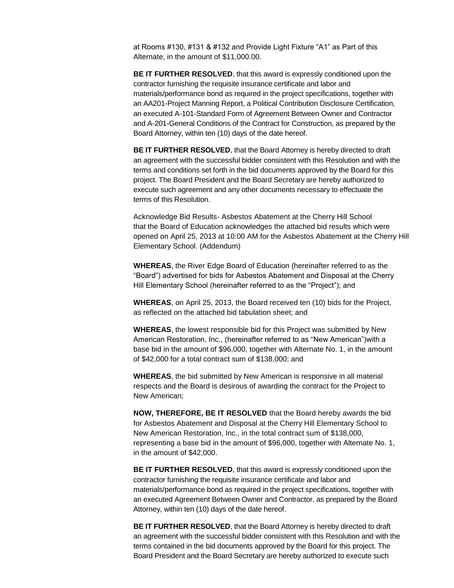at Rooms #130, #131 & #132 and Provide Light Fixture "A1" as Part of this Alternate, in the amount of \$11,000.00.

**BE IT FURTHER RESOLVED**, that this award is expressly conditioned upon the contractor furnishing the requisite insurance certificate and labor and materials/performance bond as required in the project specifications, together with an AA201-Project Manning Report, a Political Contribution Disclosure Certification, an executed A-101-Standard Form of Agreement Between Owner and Contractor and A-201-General Conditions of the Contract for Construction, as prepared by the Board Attorney, within ten (10) days of the date hereof.

**BE IT FURTHER RESOLVED**, that the Board Attorney is hereby directed to draft an agreement with the successful bidder consistent with this Resolution and with the terms and conditions set forth in the bid documents approved by the Board for this project. The Board President and the Board Secretary are hereby authorized to execute such agreement and any other documents necessary to effectuate the terms of this Resolution.

Acknowledge Bid Results- Asbestos Abatement at the Cherry Hill School that the Board of Education acknowledges the attached bid results which were opened on April 25, 2013 at 10:00 AM for the Asbestos Abatement at the Cherry Hill Elementary School. (Addendum)

**WHEREAS**, the River Edge Board of Education (hereinafter referred to as the "Board") advertised for bids for Asbestos Abatement and Disposal at the Cherry Hill Elementary School (hereinafter referred to as the "Project"); and

**WHEREAS**, on April 25, 2013, the Board received ten (10) bids for the Project, as reflected on the attached bid tabulation sheet; and

**WHEREAS**, the lowest responsible bid for this Project was submitted by New American Restoration, Inc., (hereinafter referred to as "New American")with a base bid in the amount of \$96,000, together with Alternate No. 1, in the amount of \$42,000 for a total contract sum of \$138,000; and

**WHEREAS**, the bid submitted by New American is responsive in all material respects and the Board is desirous of awarding the contract for the Project to New American;

**NOW, THEREFORE, BE IT RESOLVED** that the Board hereby awards the bid for Asbestos Abatement and Disposal at the Cherry Hill Elementary School to New American Restoration, Inc., in the total contract sum of \$138,000, representing a base bid in the amount of \$96,000, together with Alternate No. 1, in the amount of \$42,000.

**BE IT FURTHER RESOLVED**, that this award is expressly conditioned upon the contractor furnishing the requisite insurance certificate and labor and materials/performance bond as required in the project specifications, together with an executed Agreement Between Owner and Contractor, as prepared by the Board Attorney, within ten (10) days of the date hereof.

**BE IT FURTHER RESOLVED**, that the Board Attorney is hereby directed to draft an agreement with the successful bidder consistent with this Resolution and with the terms contained in the bid documents approved by the Board for this project. The Board President and the Board Secretary are hereby authorized to execute such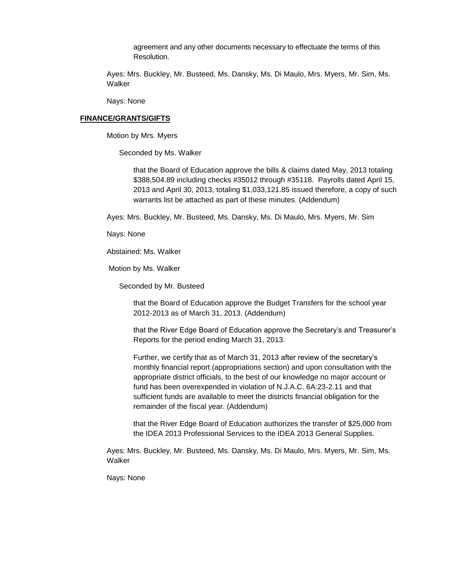agreement and any other documents necessary to effectuate the terms of this Resolution.

Ayes: Mrs. Buckley, Mr. Busteed, Ms. Dansky, Ms. Di Maulo, Mrs. Myers, Mr. Sim, Ms. Walker

Nays: None

## **FINANCE/GRANTS/GIFTS**

Motion by Mrs. Myers

Seconded by Ms. Walker

that the Board of Education approve the bills & claims dated May, 2013 totaling \$388,504.89 including checks #35012 through #35118. Payrolls dated April 15, 2013 and April 30, 2013, totaling \$1,033,121.85 issued therefore, a copy of such warrants list be attached as part of these minutes. (Addendum)

Ayes: Mrs. Buckley, Mr. Busteed, Ms. Dansky, Ms. Di Maulo, Mrs. Myers, Mr. Sim

Nays: None

Abstained: Ms. Walker

Motion by Ms. Walker

Seconded by Mr. Busteed

that the Board of Education approve the Budget Transfers for the school year 2012-2013 as of March 31, 2013. (Addendum)

that the River Edge Board of Education approve the Secretary's and Treasurer's Reports for the period ending March 31, 2013.

Further, we certify that as of March 31, 2013 after review of the secretary's monthly financial report (appropriations section) and upon consultation with the appropriate district officials, to the best of our knowledge no major account or fund has been overexpended in violation of N.J.A.C. 6A:23-2.11 and that sufficient funds are available to meet the districts financial obligation for the remainder of the fiscal year. (Addendum)

that the River Edge Board of Education authorizes the transfer of \$25,000 from the IDEA 2013 Professional Services to the IDEA 2013 General Supplies.

Ayes: Mrs. Buckley, Mr. Busteed, Ms. Dansky, Ms. Di Maulo, Mrs. Myers, Mr. Sim, Ms. Walker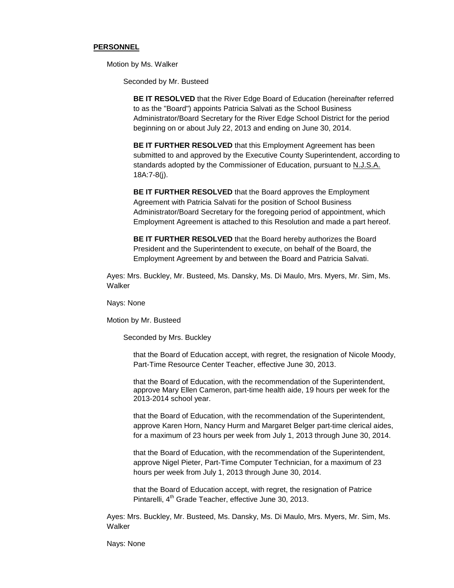#### **PERSONNEL**

Motion by Ms. Walker

Seconded by Mr. Busteed

**BE IT RESOLVED** that the River Edge Board of Education (hereinafter referred to as the "Board") appoints Patricia Salvati as the School Business Administrator/Board Secretary for the River Edge School District for the period beginning on or about July 22, 2013 and ending on June 30, 2014.

**BE IT FURTHER RESOLVED** that this Employment Agreement has been submitted to and approved by the Executive County Superintendent, according to standards adopted by the Commissioner of Education, pursuant to N.J.S.A. 18A:7-8(j).

**BE IT FURTHER RESOLVED** that the Board approves the Employment Agreement with Patricia Salvati for the position of School Business Administrator/Board Secretary for the foregoing period of appointment, which Employment Agreement is attached to this Resolution and made a part hereof.

**BE IT FURTHER RESOLVED** that the Board hereby authorizes the Board President and the Superintendent to execute, on behalf of the Board, the Employment Agreement by and between the Board and Patricia Salvati.

Ayes: Mrs. Buckley, Mr. Busteed, Ms. Dansky, Ms. Di Maulo, Mrs. Myers, Mr. Sim, Ms. Walker

Nays: None

Motion by Mr. Busteed

Seconded by Mrs. Buckley

that the Board of Education accept, with regret, the resignation of Nicole Moody, Part-Time Resource Center Teacher, effective June 30, 2013.

that the Board of Education, with the recommendation of the Superintendent, approve Mary Ellen Cameron, part-time health aide, 19 hours per week for the 2013-2014 school year.

that the Board of Education, with the recommendation of the Superintendent, approve Karen Horn, Nancy Hurm and Margaret Belger part-time clerical aides, for a maximum of 23 hours per week from July 1, 2013 through June 30, 2014.

that the Board of Education, with the recommendation of the Superintendent, approve Nigel Pieter, Part-Time Computer Technician, for a maximum of 23 hours per week from July 1, 2013 through June 30, 2014.

that the Board of Education accept, with regret, the resignation of Patrice Pintarelli, 4<sup>th</sup> Grade Teacher, effective June 30, 2013.

Ayes: Mrs. Buckley, Mr. Busteed, Ms. Dansky, Ms. Di Maulo, Mrs. Myers, Mr. Sim, Ms. **Walker**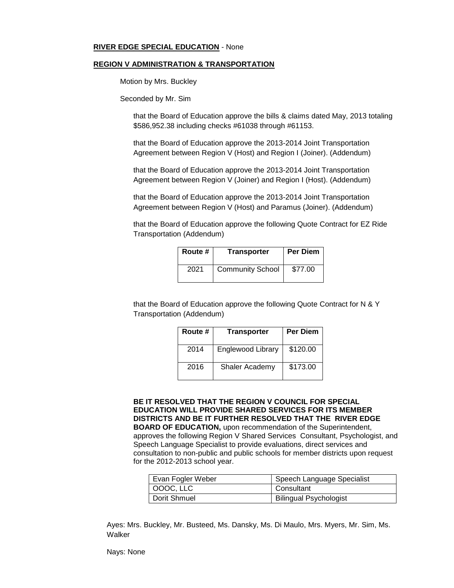## **RIVER EDGE SPECIAL EDUCATION** - None

#### **REGION V ADMINISTRATION & TRANSPORTATION**

Motion by Mrs. Buckley

Seconded by Mr. Sim

that the Board of Education approve the bills & claims dated May, 2013 totaling \$586,952.38 including checks #61038 through #61153.

that the Board of Education approve the 2013-2014 Joint Transportation Agreement between Region V (Host) and Region I (Joiner). (Addendum)

that the Board of Education approve the 2013-2014 Joint Transportation Agreement between Region V (Joiner) and Region I (Host). (Addendum)

that the Board of Education approve the 2013-2014 Joint Transportation Agreement between Region V (Host) and Paramus (Joiner). (Addendum)

that the Board of Education approve the following Quote Contract for EZ Ride Transportation (Addendum)

| Route # | <b>Transporter</b>      | <b>Per Diem</b> |
|---------|-------------------------|-----------------|
| 2021    | <b>Community School</b> | \$77.00         |

that the Board of Education approve the following Quote Contract for N & Y Transportation (Addendum)

| Route # | <b>Transporter</b>       | <b>Per Diem</b> |
|---------|--------------------------|-----------------|
| 2014    | <b>Englewood Library</b> | \$120.00        |
| 2016    | Shaler Academy           | \$173.00        |

**BE IT RESOLVED THAT THE REGION V COUNCIL FOR SPECIAL EDUCATION WILL PROVIDE SHARED SERVICES FOR ITS MEMBER DISTRICTS AND BE IT FURTHER RESOLVED THAT THE RIVER EDGE BOARD OF EDUCATION,** upon recommendation of the Superintendent, approves the following Region V Shared Services Consultant, Psychologist, and Speech Language Specialist to provide evaluations, direct services and consultation to non-public and public schools for member districts upon request for the 2012-2013 school year.

| Evan Fogler Weber | Speech Language Specialist    |  |
|-------------------|-------------------------------|--|
| $ $ OOOC, LLC     | Consultant                    |  |
| Dorit Shmuel      | <b>Bilingual Psychologist</b> |  |

Ayes: Mrs. Buckley, Mr. Busteed, Ms. Dansky, Ms. Di Maulo, Mrs. Myers, Mr. Sim, Ms. Walker